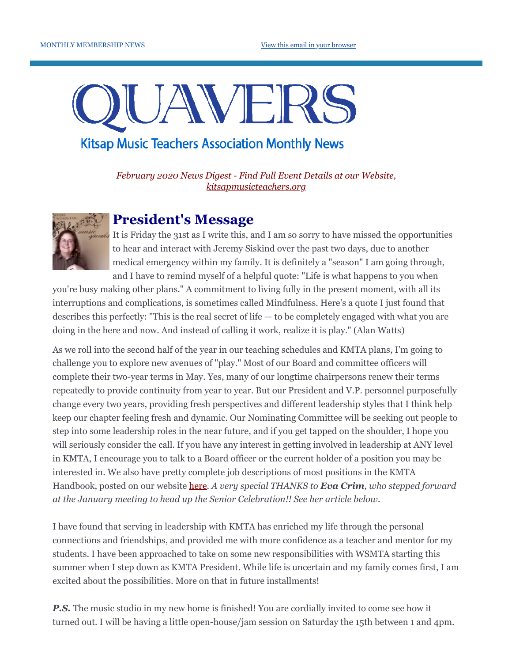# UAVERS

## **Kitsap Music Teachers Association Monthly News**

*February 2020 News Digest - Find Full Event Details at our Website, [kitsapmusicteachers.org](http://www.kitsapmusicteachers.org/)*



## **President's Message**

It is Friday the 31st as I write this, and I am so sorry to have missed the opportunities to hear and interact with Jeremy Siskind over the past two days, due to another medical emergency within my family. It is definitely a "season" I am going through, and I have to remind myself of a helpful quote: "Life is what happens to you when

you're busy making other plans." A commitment to living fully in the present moment, with all its interruptions and complications, is sometimes called Mindfulness. Here's a quote I just found that describes this perfectly: "This is the real secret of life — to be completely engaged with what you are doing in the here and now. And instead of calling it work, realize it is play." (Alan Watts)

As we roll into the second half of the year in our teaching schedules and KMTA plans, I'm going to challenge you to explore new avenues of "play." Most of our Board and committee officers will complete their two-year terms in May. Yes, many of our longtime chairpersons renew their terms repeatedly to provide continuity from year to year. But our President and V.P. personnel purposefully change every two years, providing fresh perspectives and different leadership styles that I think help keep our chapter feeling fresh and dynamic. Our Nominating Committee will be seeking out people to step into some leadership roles in the near future, and if you get tapped on the shoulder, I hope you will seriously consider the call. If you have any interest in getting involved in leadership at ANY level in KMTA, I encourage you to talk to a Board officer or the current holder of a position you may be interested in. We also have pretty complete job descriptions of most positions in the KMTA Handbook, posted on our website [here](http://www.kitsapmusicteachers.org/wp-content/uploads/2018/06/Handbook-Rev2018.pdf). *A very special THANKS to Eva Crim, who stepped forward at the January meeting to head up the Senior Celebration!! See her article below.*

I have found that serving in leadership with KMTA has enriched my life through the personal connections and friendships, and provided me with more confidence as a teacher and mentor for my students. I have been approached to take on some new responsibilities with WSMTA starting this summer when I step down as KMTA President. While life is uncertain and my family comes first, I am excited about the possibilities. More on that in future installments!

**P.S.** The music studio in my new home is finished! You are cordially invited to come see how it turned out. I will be having a little open-house/jam session on Saturday the 15th between 1 and 4pm.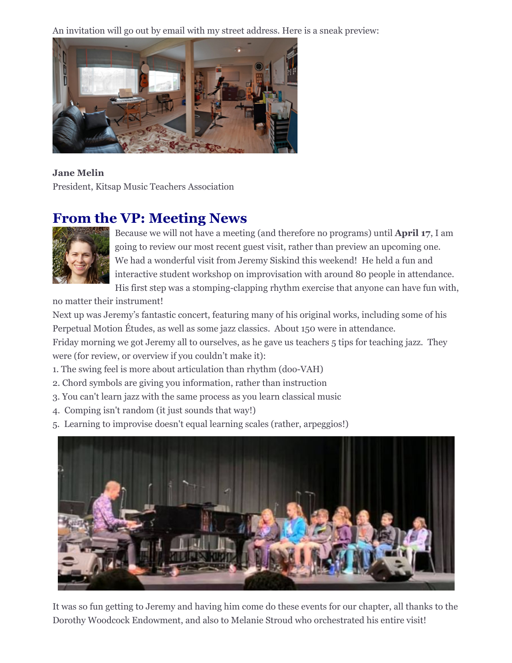An invitation will go out by email with my street address. Here is a sneak preview:



### **Jane Melin**

President, Kitsap Music Teachers Association

# **From the VP: Meeting News**



Because we will not have a meeting (and therefore no programs) until **April 17**, I am going to review our most recent guest visit, rather than preview an upcoming one. We had a wonderful visit from Jeremy Siskind this weekend! He held a fun and interactive student workshop on improvisation with around 80 people in attendance. His first step was a stomping-clapping rhythm exercise that anyone can have fun with,

no matter their instrument!

Next up was Jeremy's fantastic concert, featuring many of his original works, including some of his Perpetual Motion Études, as well as some jazz classics. About 150 were in attendance.

Friday morning we got Jeremy all to ourselves, as he gave us teachers 5 tips for teaching jazz. They were (for review, or overview if you couldn't make it):

- 1. The swing feel is more about articulation than rhythm (doo-VAH)
- 2. Chord symbols are giving you information, rather than instruction
- 3. You can't learn jazz with the same process as you learn classical music
- 4. Comping isn't random (it just sounds that way!)
- 5. Learning to improvise doesn't equal learning scales (rather, arpeggios!)



It was so fun getting to Jeremy and having him come do these events for our chapter, all thanks to the Dorothy Woodcock Endowment, and also to Melanie Stroud who orchestrated his entire visit!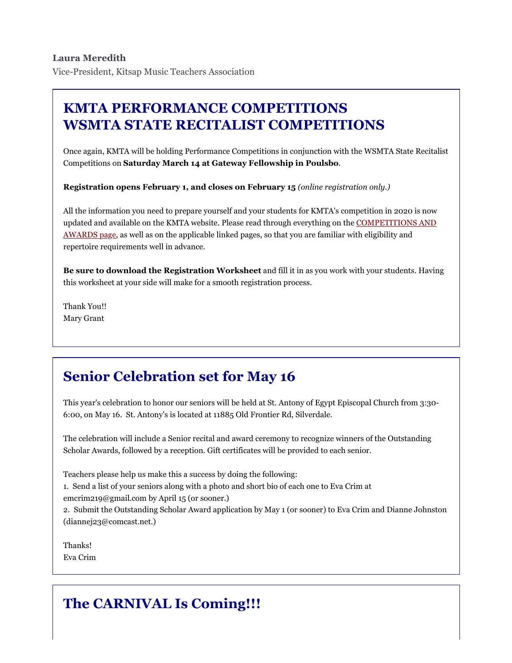# **KMTA PERFORMANCE COMPETITIONS WSMTA STATE RECITALIST COMPETITIONS**

Once again, KMTA will be holding Performance Competitions in conjunction with the WSMTA State Recitalist Competitions on **Saturday March 14 at Gateway Fellowship in Poulsbo**.

**Registration opens February 1, and closes on February 15** *(online registration only.)*

All the information you need to prepare yourself and your students for KMTA's competition in 2020 is now [updated and available on the KMTA website. Please read through everything on the COMPETITIONS AND](http://www.kitsapmusicteachers.org/competitions-and-awards/) AWARDS page, as well as on the applicable linked pages, so that you are familiar with eligibility and repertoire requirements well in advance.

**Be sure to download the Registration Worksheet** and fill it in as you work with your students. Having this worksheet at your side will make for a smooth registration process.

Thank You!! Mary Grant

# **Senior Celebration set for May 16**

This year's celebration to honor our seniors will be held at St. Antony of Egypt Episcopal Church from 3:30- 6:00, on May 16. St. Antony's is located at 11885 Old Frontier Rd, Silverdale.

The celebration will include a Senior recital and award ceremony to recognize winners of the Outstanding Scholar Awards, followed by a reception. Gift certificates will be provided to each senior.

Teachers please help us make this a success by doing the following: 1. Send a list of your seniors along with a photo and short bio of each one to Eva Crim at emcrim219@gmail.com by April 15 (or sooner.) 2. Submit the Outstanding Scholar Award application by May 1 (or sooner) to Eva Crim and Dianne Johnston (diannej23@comcast.net.)

Thanks! Eva Crim

# **The CARNIVAL Is Coming!!!**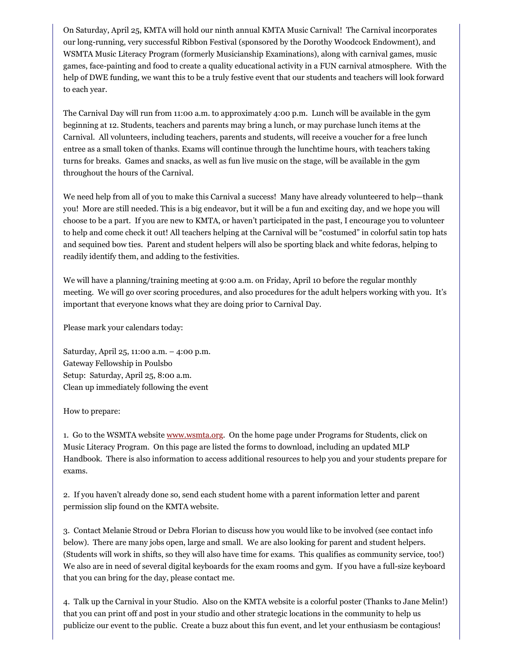On Saturday, April 25, KMTA will hold our ninth annual KMTA Music Carnival! The Carnival incorporates our long-running, very successful Ribbon Festival (sponsored by the Dorothy Woodcock Endowment), and WSMTA Music Literacy Program (formerly Musicianship Examinations), along with carnival games, music games, face-painting and food to create a quality educational activity in a FUN carnival atmosphere. With the help of DWE funding, we want this to be a truly festive event that our students and teachers will look forward to each year.

The Carnival Day will run from 11:00 a.m. to approximately 4:00 p.m. Lunch will be available in the gym beginning at 12. Students, teachers and parents may bring a lunch, or may purchase lunch items at the Carnival. All volunteers, including teachers, parents and students, will receive a voucher for a free lunch entree as a small token of thanks. Exams will continue through the lunchtime hours, with teachers taking turns for breaks. Games and snacks, as well as fun live music on the stage, will be available in the gym throughout the hours of the Carnival.

We need help from all of you to make this Carnival a success! Many have already volunteered to help—thank you! More are still needed. This is a big endeavor, but it will be a fun and exciting day, and we hope you will choose to be a part. If you are new to KMTA, or haven't participated in the past, I encourage you to volunteer to help and come check it out! All teachers helping at the Carnival will be "costumed" in colorful satin top hats and sequined bow ties. Parent and student helpers will also be sporting black and white fedoras, helping to readily identify them, and adding to the festivities.

We will have a planning/training meeting at 9:00 a.m. on Friday, April 10 before the regular monthly meeting. We will go over scoring procedures, and also procedures for the adult helpers working with you. It's important that everyone knows what they are doing prior to Carnival Day.

Please mark your calendars today:

Saturday, April 25, 11:00 a.m. – 4:00 p.m. Gateway Fellowship in Poulsbo Setup: Saturday, April 25, 8:00 a.m. Clean up immediately following the event

How to prepare:

1. Go to the WSMTA website [www.wsmta.org.](http://www.wsmta.org/) On the home page under Programs for Students, click on Music Literacy Program. On this page are listed the forms to download, including an updated MLP Handbook. There is also information to access additional resources to help you and your students prepare for exams.

2. If you haven't already done so, send each student home with a parent information letter and parent permission slip found on the KMTA website.

3. Contact Melanie Stroud or Debra Florian to discuss how you would like to be involved (see contact info below). There are many jobs open, large and small. We are also looking for parent and student helpers. (Students will work in shifts, so they will also have time for exams. This qualifies as community service, too!) We also are in need of several digital keyboards for the exam rooms and gym. If you have a full-size keyboard that you can bring for the day, please contact me.

4. Talk up the Carnival in your Studio. Also on the KMTA website is a colorful poster (Thanks to Jane Melin!) that you can print off and post in your studio and other strategic locations in the community to help us publicize our event to the public. Create a buzz about this fun event, and let your enthusiasm be contagious!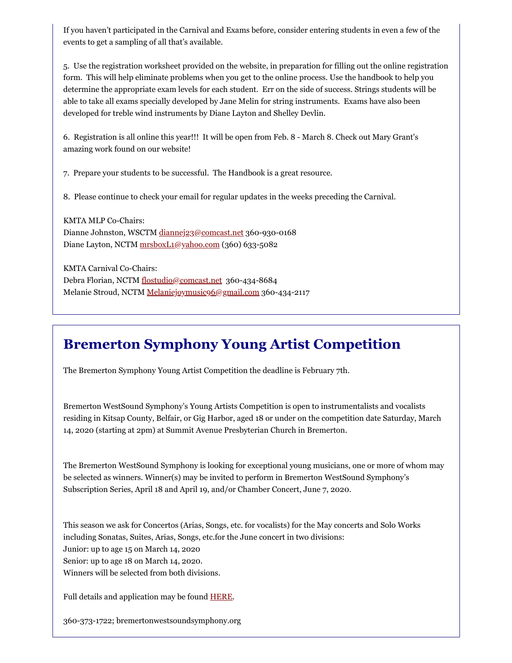If you haven't participated in the Carnival and Exams before, consider entering students in even a few of the events to get a sampling of all that's available.

5. Use the registration worksheet provided on the website, in preparation for filling out the online registration form. This will help eliminate problems when you get to the online process. Use the handbook to help you determine the appropriate exam levels for each student. Err on the side of success. Strings students will be able to take all exams specially developed by Jane Melin for string instruments. Exams have also been developed for treble wind instruments by Diane Layton and Shelley Devlin.

6. Registration is all online this year!!! It will be open from Feb. 8 - March 8. Check out Mary Grant's amazing work found on our website!

7. Prepare your students to be successful. The Handbook is a great resource.

8. Please continue to check your email for regular updates in the weeks preceding the Carnival.

KMTA MLP Co-Chairs: Dianne Johnston, WSCTM [diannej23@comcast.net](mailto:diannej23@comcast.net) 360-930-0168 Diane Layton, NCTM [mrsboxL1@yahoo.com](mailto:mrsboxL1@yahoo.com) (360) 633-5082

KMTA Carnival Co-Chairs: Debra Florian, NCTM [flostudio@comcast.net](mailto:flostudio@comcast.net) 360-434-8684 Melanie Stroud, NCTM [Melaniejoymusic96@gmail.com](mailto:Melaniejoymusic96@gmail.com) 360-434-2117

# **Bremerton Symphony Young Artist Competition**

The Bremerton Symphony Young Artist Competition the deadline is February 7th.

Bremerton WestSound Symphony's Young Artists Competition is open to instrumentalists and vocalists residing in Kitsap County, Belfair, or Gig Harbor, aged 18 or under on the competition date Saturday, March 14, 2020 (starting at 2pm) at Summit Avenue Presbyterian Church in Bremerton.

The Bremerton WestSound Symphony is looking for exceptional young musicians, one or more of whom may be selected as winners. Winner(s) may be invited to perform in Bremerton WestSound Symphony's Subscription Series, April 18 and April 19, and/or Chamber Concert, June 7, 2020.

This season we ask for Concertos (Arias, Songs, etc. for vocalists) for the May concerts and Solo Works including Sonatas, Suites, Arias, Songs, etc.for the June concert in two divisions: Junior: up to age 15 on March 14, 2020 Senior: up to age 18 on March 14, 2020. Winners will be selected from both divisions.

Full details and application may be found **HERE**.

360-373-1722; bremertonwestsoundsymphony.org